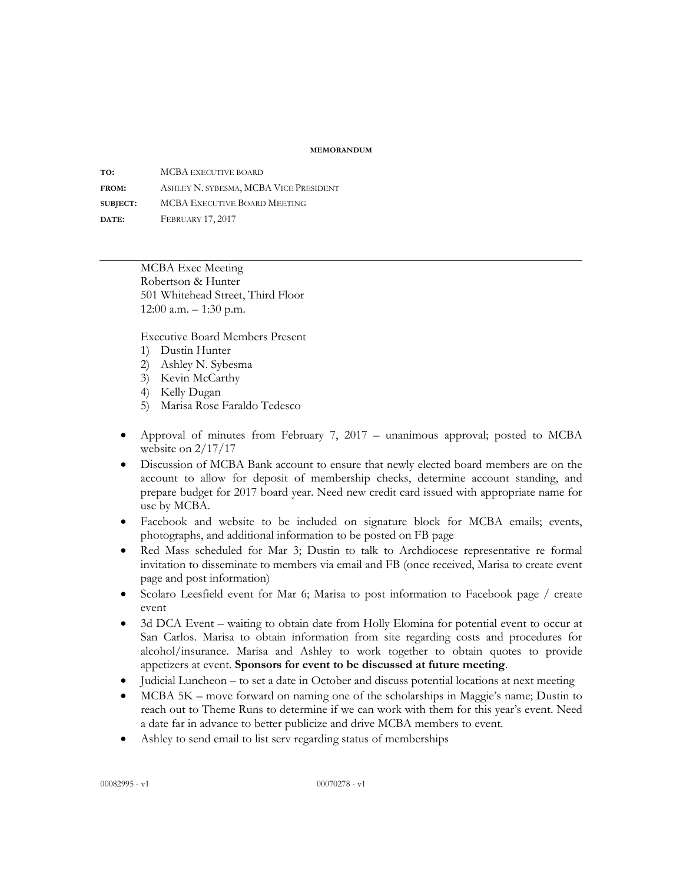## **MEMORANDUM**

**TO:** MCBA EXECUTIVE BOARD **FROM:** ASHLEY N. SYBESMA, MCBA VICE PRESIDENT **SUBJECT:** MCBA EXECUTIVE BOARD MEETING **DATE:** FEBRUARY 17, 2017

> MCBA Exec Meeting Robertson & Hunter 501 Whitehead Street, Third Floor 12:00 a.m. – 1:30 p.m.

Executive Board Members Present

- 1) Dustin Hunter
- 2) Ashley N. Sybesma
- 3) Kevin McCarthy
- 4) Kelly Dugan
- 5) Marisa Rose Faraldo Tedesco
- Approval of minutes from February 7, 2017 unanimous approval; posted to MCBA website on 2/17/17
- Discussion of MCBA Bank account to ensure that newly elected board members are on the account to allow for deposit of membership checks, determine account standing, and prepare budget for 2017 board year. Need new credit card issued with appropriate name for use by MCBA.
- Facebook and website to be included on signature block for MCBA emails; events, photographs, and additional information to be posted on FB page
- Red Mass scheduled for Mar 3; Dustin to talk to Archdiocese representative re formal invitation to disseminate to members via email and FB (once received, Marisa to create event page and post information)
- Scolaro Leesfield event for Mar 6; Marisa to post information to Facebook page / create event
- 3d DCA Event waiting to obtain date from Holly Elomina for potential event to occur at San Carlos. Marisa to obtain information from site regarding costs and procedures for alcohol/insurance. Marisa and Ashley to work together to obtain quotes to provide appetizers at event. **Sponsors for event to be discussed at future meeting**.
- Judicial Luncheon to set a date in October and discuss potential locations at next meeting
- MCBA 5K move forward on naming one of the scholarships in Maggie's name; Dustin to reach out to Theme Runs to determine if we can work with them for this year's event. Need a date far in advance to better publicize and drive MCBA members to event.
- Ashley to send email to list serv regarding status of memberships